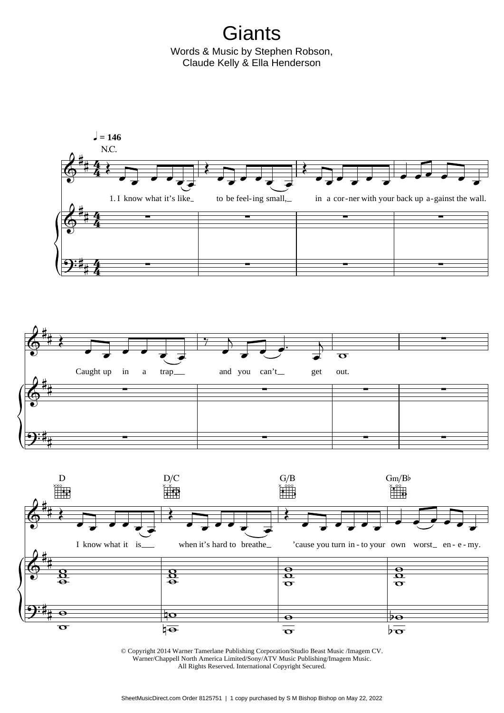**Giants** Words & Music by Stephen Robson, Claude Kelly & Ella Henderson



© Copyright 2014 Warner Tamerlane Publishing Corporation/Studio Beast Music /Imagem CV. Warner/Chappell North America Limited/Sony/ATV Music Publishing/Imagem Music. All Rights Reserved. International Copyright Secured.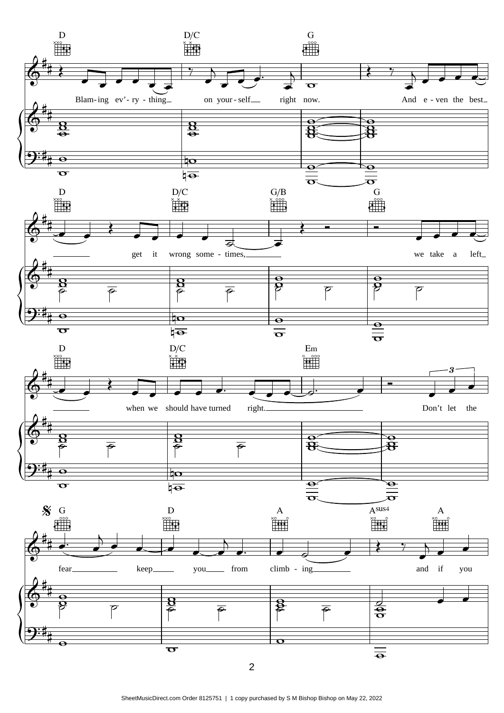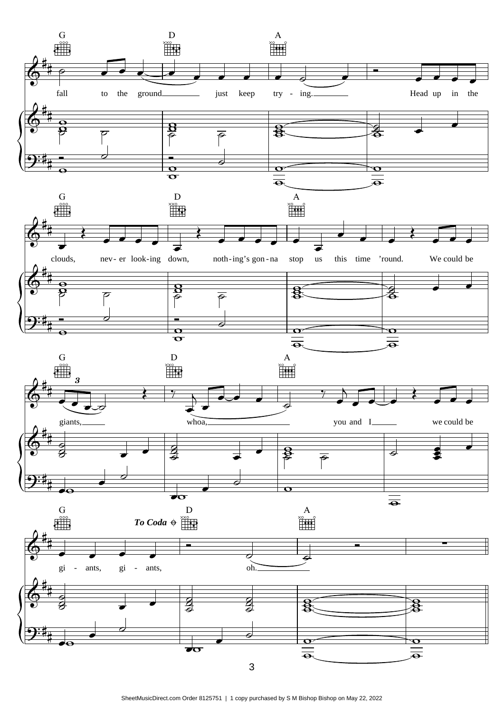

SheetMusicDirect.com Order 8125751 | 1 copy purchased by S M Bishop Bishop on May 22, 2022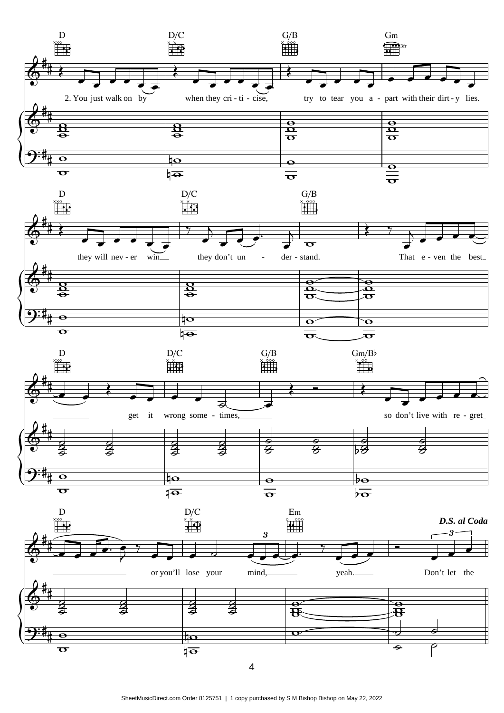

SheetMusicDirect.com Order 8125751 | 1 copy purchased by S M Bishop Bishop on May 22, 2022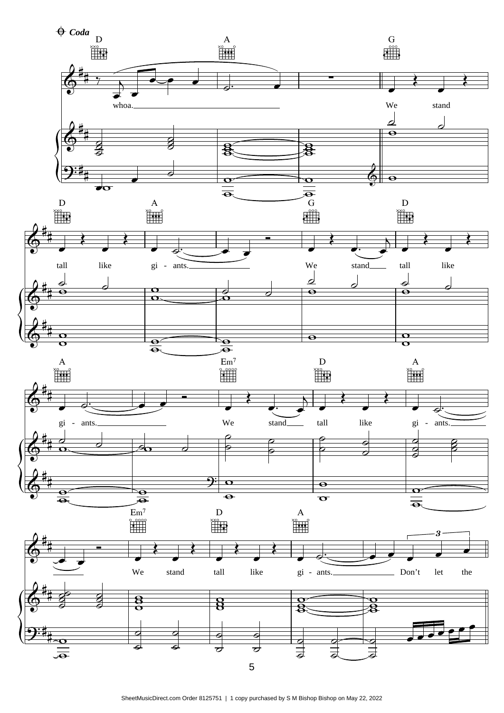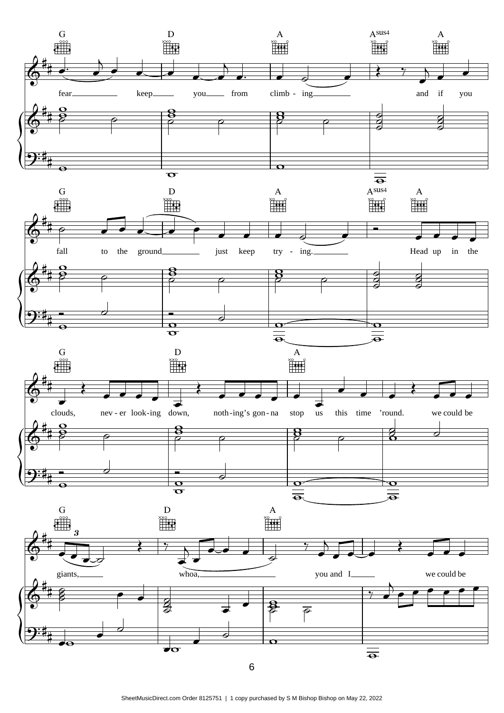